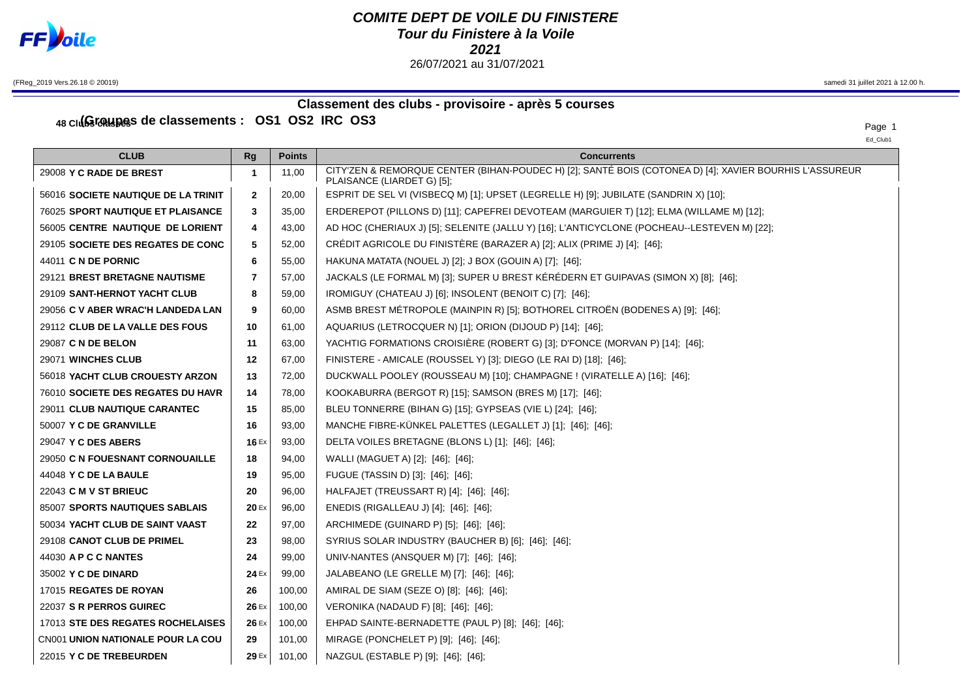

## **COMITE DEPT DE VOILE DU FINISTERE Tour du Finistere à la Voile** 26/07/2021 au 31/07/2021

(FReg\_2019 Vers.26.18 © 20019) samedi 31 juillet 2021 à 12.00 h.

## **Classement des clubs - provisoire - après 5 courses**

48 Clus Cassements :  $OS1$  OS2 IRC OS3

Ed\_Club1

| <b>CLUB</b>                              | Rg             | <b>Points</b> | <b>Concurrents</b>                                                                                                                   |
|------------------------------------------|----------------|---------------|--------------------------------------------------------------------------------------------------------------------------------------|
| 29008 Y C RADE DE BREST                  | -1             | 11,00         | CITY'ZEN & REMORQUE CENTER (BIHAN-POUDEC H) [2]; SANTÉ BOIS (COTONEA D) [4]; XAVIER BOURHIS L'ASSUREUR<br>PLAISANCE (LIARDET G) [5]; |
| 56016 SOCIETE NAUTIQUE DE LA TRINIT      | $\mathbf{2}$   | 20,00         | ESPRIT DE SEL VI (VISBECQ M) [1]; UPSET (LEGRELLE H) [9]; JUBILATE (SANDRIN X) [10];                                                 |
| 76025 SPORT NAUTIQUE ET PLAISANCE        | 3              | 35,00         | ERDEREPOT (PILLONS D) [11]; CAPEFREI DEVOTEAM (MARGUIER T) [12]; ELMA (WILLAME M) [12];                                              |
| 56005 CENTRE NAUTIQUE DE LORIENT         | 4              | 43,00         | AD HOC (CHERIAUX J) [5]; SELENITE (JALLU Y) [16]; L'ANTICYCLONE (POCHEAU--LESTEVEN M) [22];                                          |
| 29105 SOCIETE DES REGATES DE CONC        | 5              | 52,00         | CRÉDIT AGRICOLE DU FINISTÈRE (BARAZER A) [2]; ALIX (PRIME J) [4]; [46];                                                              |
| 44011 C N DE PORNIC                      | 6              | 55,00         | HAKUNA MATATA (NOUEL J) [2]; J BOX (GOUIN A) [7]; [46];                                                                              |
| 29121 BREST BRETAGNE NAUTISME            | $\overline{7}$ | 57,00         | JACKALS (LE FORMAL M) [3]; SUPER U BREST KÉRÉDERN ET GUIPAVAS (SIMON X) [8]; [46];                                                   |
| 29109 SANT-HERNOT YACHT CLUB             | 8              | 59,00         | IROMIGUY (CHATEAU J) [6]; INSOLENT (BENOIT C) [7]; [46];                                                                             |
| 29056 C V ABER WRAC'H LANDEDA LAN        | 9              | 60,00         | ASMB BREST MÉTROPOLE (MAINPIN R) [5]; BOTHOREL CITROËN (BODENES A) [9]; [46];                                                        |
| 29112 CLUB DE LA VALLE DES FOUS          | 10             | 61,00         | AQUARIUS (LETROCQUER N) [1]; ORION (DIJOUD P) [14]; [46];                                                                            |
| 29087 C N DE BELON                       | 11             | 63,00         | YACHTIG FORMATIONS CROISIERE (ROBERT G) [3]; D'FONCE (MORVAN P) [14]; [46];                                                          |
| 29071 WINCHES CLUB                       | 12             | 67,00         | FINISTERE - AMICALE (ROUSSEL Y) [3]; DIEGO (LE RAI D) [18]; [46];                                                                    |
| 56018 YACHT CLUB CROUESTY ARZON          | 13             | 72,00         | DUCKWALL POOLEY (ROUSSEAU M) [10]; CHAMPAGNE ! (VIRATELLE A) [16]; [46];                                                             |
| 76010 SOCIETE DES REGATES DU HAVR        | 14             | 78,00         | KOOKABURRA (BERGOT R) [15]; SAMSON (BRES M) [17]; [46];                                                                              |
| 29011 CLUB NAUTIQUE CARANTEC             | 15             | 85,00         | BLEU TONNERRE (BIHAN G) [15]; GYPSEAS (VIE L) [24]; [46];                                                                            |
| 50007 Y C DE GRANVILLE                   | 16             | 93,00         | MANCHE FIBRE-KÜNKEL PALETTES (LEGALLET J) [1]; [46]; [46];                                                                           |
| 29047 Y C DES ABERS                      | 16 $Ex$        | 93,00         | DELTA VOILES BRETAGNE (BLONS L) [1]; [46]; [46];                                                                                     |
| 29050 C N FOUESNANT CORNOUAILLE          | 18             | 94,00         | WALLI (MAGUET A) [2]; [46]; [46];                                                                                                    |
| 44048 Y C DE LA BAULE                    | 19             | 95,00         | FUGUE (TASSIN D) [3]; [46]; [46];                                                                                                    |
| 22043 <b>C M V ST BRIEUC</b>             | 20             | 96,00         | HALFAJET (TREUSSART R) [4]; [46]; [46];                                                                                              |
| 85007 SPORTS NAUTIQUES SABLAIS           | 20 Ex          | 96,00         | ENEDIS (RIGALLEAU J) [4]; [46]; [46];                                                                                                |
| 50034 YACHT CLUB DE SAINT VAAST          | 22             | 97,00         | ARCHIMEDE (GUINARD P) [5]; [46]; [46];                                                                                               |
| 29108 CANOT CLUB DE PRIMEL               | 23             | 98,00         | SYRIUS SOLAR INDUSTRY (BAUCHER B) [6]; [46]; [46];                                                                                   |
| 44030 A P C C NANTES                     | 24             | 99,00         | UNIV-NANTES (ANSQUER M) [7]; [46]; [46];                                                                                             |
| 35002 Y C DE DINARD                      | 24 Ex          | 99,00         | JALABEANO (LE GRELLE M) [7]; [46]; [46];                                                                                             |
| 17015 REGATES DE ROYAN                   | 26             | 100,00        | AMIRAL DE SIAM (SEZE O) [8]; [46]; [46];                                                                                             |
| 22037 S R PERROS GUIREC                  | 26 Ex          | 100,00        | VERONIKA (NADAUD F) [8]; [46]; [46];                                                                                                 |
| 17013 STE DES REGATES ROCHELAISES        | 26 Ex          | 100,00        | EHPAD SAINTE-BERNADETTE (PAUL P) [8]; [46]; [46];                                                                                    |
| <b>CN001 UNION NATIONALE POUR LA COU</b> | 29             | 101.00        | MIRAGE (PONCHELET P) [9]; [46]; [46];                                                                                                |
| 22015 Y C DE TREBEURDEN                  | 29 Ex          | 101.00        | NAZGUL (ESTABLE P) [9]; [46]; [46];                                                                                                  |